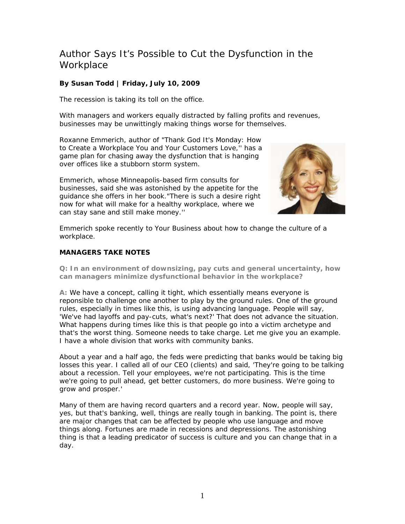## Author Says It's Possible to Cut the Dysfunction in the **Workplace**

## **By Susan Todd | Friday, July 10, 2009**

The recession is taking its toll on the office.

With managers and workers equally distracted by falling profits and revenues, businesses may be unwittingly making things worse for themselves.

Roxanne Emmerich, author of "Thank God It's Monday: How to Create a Workplace You and Your Customers Love,'' has a game plan for chasing away the dysfunction that is hanging over offices like a stubborn storm system.

Emmerich, whose Minneapolis-based firm consults for businesses, said she was astonished by the appetite for the guidance she offers in her book."There is such a desire right now for what will make for a healthy workplace, where we can stay sane and still make money.''



Emmerich spoke recently to Your Business about how to change the culture of a workplace.

## **MANAGERS TAKE NOTES**

**Q: In an environment of downsizing, pay cuts and general uncertainty, how can managers minimize dysfunctional behavior in the workplace?** 

**A:** We have a concept, calling it tight, which essentially means everyone is reponsible to challenge one another to play by the ground rules. One of the ground rules, especially in times like this, is using advancing language. People will say, 'We've had layoffs and pay-cuts, what's next?' That does not advance the situation. What happens during times like this is that people go into a victim archetype and that's the worst thing. Someone needs to take charge. Let me give you an example. I have a whole division that works with community banks.

About a year and a half ago, the feds were predicting that banks would be taking big losses this year. I called all of our CEO (clients) and said, 'They're going to be talking about a recession. Tell your employees, we're not participating. This is the time we're going to pull ahead, get better customers, do more business. We're going to grow and prosper.'

Many of them are having record quarters and a record year. Now, people will say, yes, but that's banking, well, things are really tough in banking. The point is, there are major changes that can be affected by people who use language and move things along. Fortunes are made in recessions and depressions. The astonishing thing is that a leading predicator of success is culture and you can change that in a day.